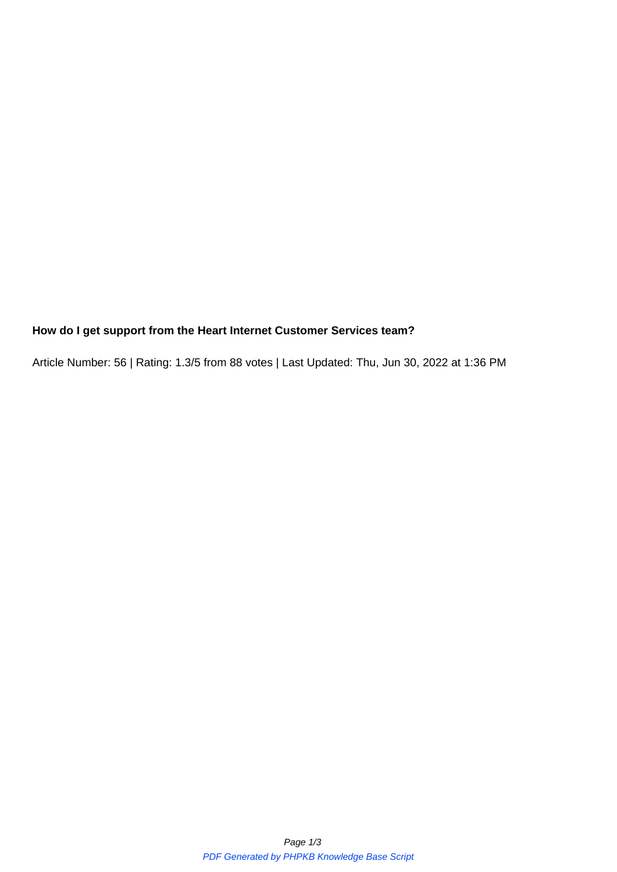## **How do I get support from the Heart Internet Customer Services team?**

Article Number: 56 | Rating: 1.3/5 from 88 votes | Last Updated: Thu, Jun 30, 2022 at 1:36 PM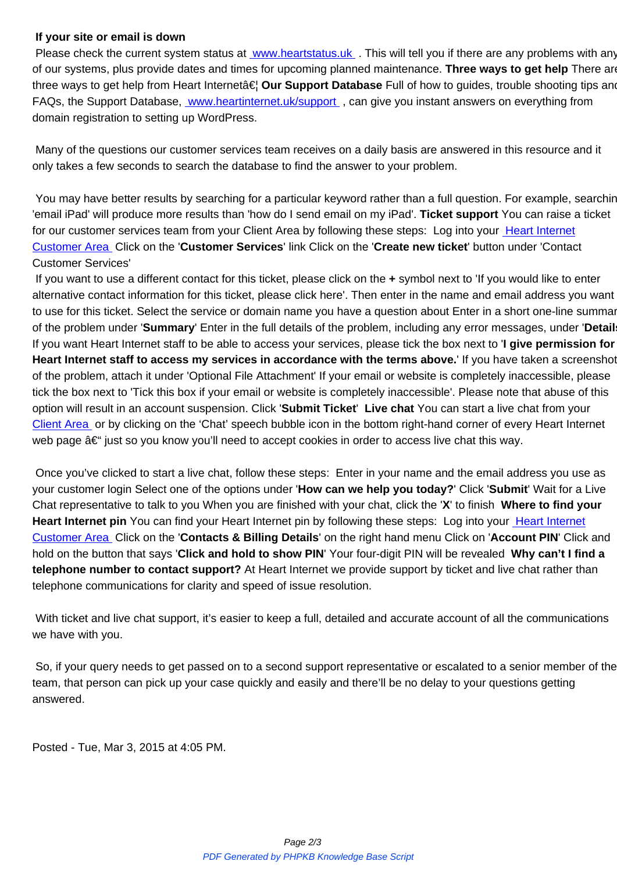Please check the current system status at <u>www.heartstatus.uk</u> . This will tell you if there are any problems with any of our systems, plus provide dates and times for upcoming planned maintenance. **Three ways to get help** There are three ways to get help from Heart Interneta <del>€</del> Our Support Database Full of how to guides, trouble shooting tips and FAQs, the Support Database, www.heartinternet.uk/support, can give you instant answers on everything from domain registration to setting up WordPress.

 Many of the questions our cu[stomer services team receives o](https://www.heartinternet.uk/support/)n a daily basis are answered in this resource and it only takes a few seconds to search the database to find the answer to your problem.

 You may have better results by searching for a particular keyword rather than a full question. For example, searching 'email iPad' will produce more results than 'how do I send email on my iPad'. **Ticket support** You can raise a ticket for our customer services team from your Client Area by following these steps: Log into your Heart Internet Customer Area Click on the '**Customer Services**' link Click on the '**Create new ticket**' button under 'Contact Customer Services'

 If you want to use a different contact for this ticket, please click on the **+** symbol next to 'If yo[u would like to e](https://customer.heartinternet.uk/manage/login.cgi)nter [alternative conta](https://customer.heartinternet.uk/manage/login.cgi)ct information for this ticket, please click here'. Then enter in the name and email address you want to use for this ticket. Select the service or domain name you have a question about Enter in a short one-line summary of the problem under '**Summary**' Enter in the full details of the problem, including any error messages, under '**Details**' If you want Heart Internet staff to be able to access your services, please tick the box next to '**I give permission for Heart Internet staff to access my services in accordance with the terms above.**' If you have taken a screenshot of the problem, attach it under 'Optional File Attachment' If your email or website is completely inaccessible, please tick the box next to 'Tick this box if your email or website is completely inaccessible'. Please note that abuse of this option will result in an account suspension. Click '**Submit Ticket**' **Live chat** You can start a live chat from your Client Area or by clicking on the 'Chat' speech bubble icon in the bottom right-hand corner of every Heart Internet web page  $\hat{a} \in \hat{C}$  just so you know you'll need to accept cookies in order to access live chat this way.

 [Once you'v](https://customer.heartinternet.uk/manage/login.cgi)e clicked to start a live chat, follow these steps: Enter in your name and the email address you use as your customer login Select one of the options under '**How can we help you today?**' Click '**Submit**' Wait for a Live Chat representative to talk to you When you are finished with your chat, click the '**X**' to finish **Where to find your Heart Internet pin** You can find your Heart Internet pin by following these steps: Log into your Heart Internet Customer Area Click on the '**Contacts & Billing Details**' on the right hand menu Click on '**Account PIN**' Click and hold on the button that says '**Click and hold to show PIN**' Your four-digit PIN will be revealed **Why can't I find a telephone number to contact support?** At Heart Internet we provide support by ticket and liv[e chat rather tha](https://customer.heartinternet.uk/manage/login.cgi)n [telephone comm](https://customer.heartinternet.uk/manage/login.cgi)unications for clarity and speed of issue resolution.

With ticket and live chat support, it's easier to keep a full, detailed and accurate account of all the communications we have with you.

 So, if your query needs to get passed on to a second support representative or escalated to a senior member of the team, that person can pick up your case quickly and easily and there'll be no delay to your questions getting answered.

Posted - Tue, Mar 3, 2015 at 4:05 PM.